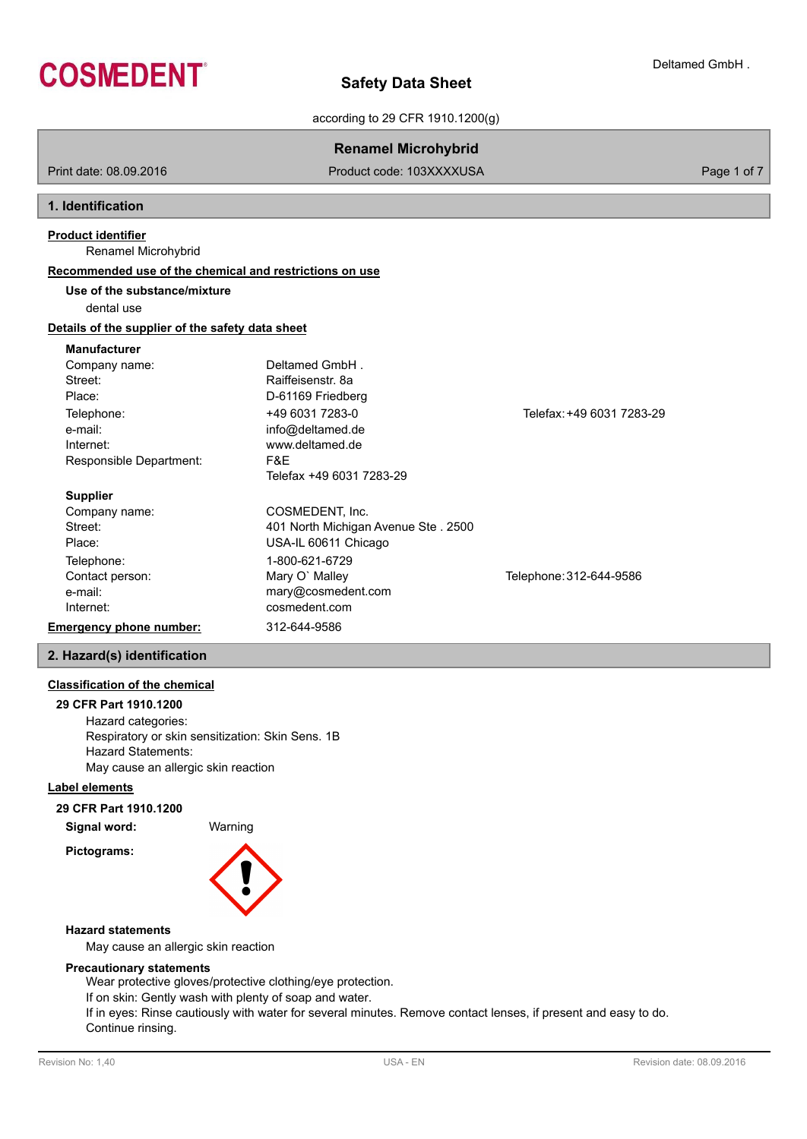

according to 29 CFR 1910.1200(g)

# **Renamel Microhybrid**

Print date: 08.09.2016 **Product code: 103XXXXUSA** Product code: 103XXXXUSA Page 1 of 7

## **1. Identification**

## **Product identifier**

Renamel Microhybrid

## **Recommended use of the chemical and restrictions on use**

**Use of the substance/mixture**

dental use

# **Details of the supplier of the safety data sheet**

## **Manufacturer**

| Company name:                  | Deltamed GmbH.                      |                           |
|--------------------------------|-------------------------------------|---------------------------|
| Street:                        | Raiffeisenstr, 8a                   |                           |
| Place:                         | D-61169 Friedberg                   |                           |
| Telephone:                     | +49 6031 7283-0                     | Telefax: +49 6031 7283-29 |
| e-mail:                        | info@deltamed.de                    |                           |
| Internet:                      | www.deltamed.de                     |                           |
| Responsible Department:        | F&E                                 |                           |
|                                | Telefax +49 6031 7283-29            |                           |
| <b>Supplier</b>                |                                     |                           |
| Company name:                  | COSMEDENT, Inc.                     |                           |
| Street:                        | 401 North Michigan Avenue Ste. 2500 |                           |
| Place:                         | USA-IL 60611 Chicago                |                           |
| Telephone:                     | 1-800-621-6729                      |                           |
| Contact person:                | Mary O' Malley                      | Telephone: 312-644-9586   |
| e-mail:                        | mary@cosmedent.com                  |                           |
| Internet:                      | cosmedent.com                       |                           |
| <b>Emergency phone number:</b> | 312-644-9586                        |                           |

# **2. Hazard(s) identification**

## **Classification of the chemical**

**29 CFR Part 1910.1200** Hazard categories: Respiratory or skin sensitization: Skin Sens. 1B Hazard Statements: May cause an allergic skin reaction

## **Label elements**

**Pictograms:**

## **29 CFR Part 1910.1200**

**Signal word:** Warning



## **Hazard statements**

May cause an allergic skin reaction

## **Precautionary statements**

Wear protective gloves/protective clothing/eye protection.

If on skin: Gently wash with plenty of soap and water.

If in eyes: Rinse cautiously with water for several minutes. Remove contact lenses, if present and easy to do. Continue rinsing.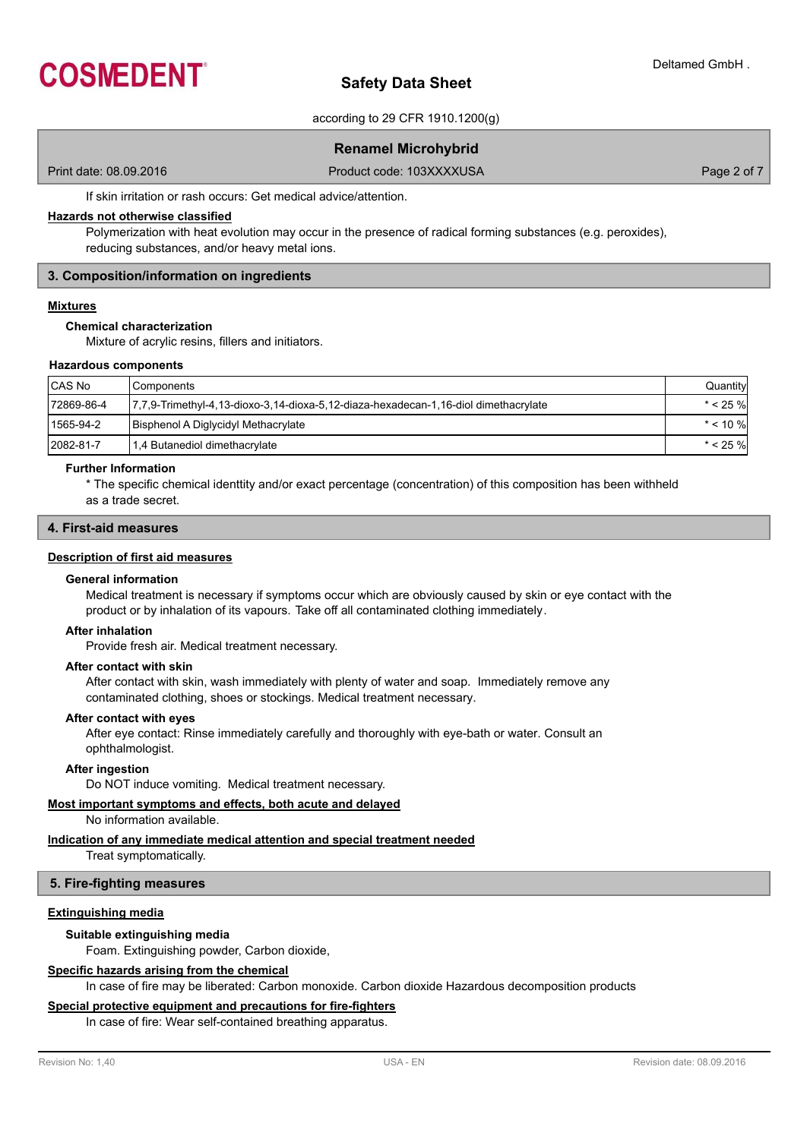

according to 29 CFR 1910.1200(g)

# **Renamel Microhybrid**

Print date: 08.09.2016 **Product code: 103XXXXUSA** Product code: 103XXXXUSA Page 2 of 7

If skin irritation or rash occurs: Get medical advice/attention.

## **Hazards not otherwise classified**

Polymerization with heat evolution may occur in the presence of radical forming substances (e.g. peroxides), reducing substances, and/or heavy metal ions.

## **3. Composition/information on ingredients**

## **Mixtures**

## **Chemical characterization**

Mixture of acrylic resins, fillers and initiators.

#### **Hazardous components**

| CAS No     | Components                                                                          | Quantity    |
|------------|-------------------------------------------------------------------------------------|-------------|
| 72869-86-4 | 7,7,9-Trimethyl-4,13-dioxo-3,14-dioxa-5,12-diaza-hexadecan-1,16-diol dimethacrylate | $* < 25 \%$ |
| 1565-94-2  | Bisphenol A Diglycidyl Methacrylate                                                 | $*$ < 10 %  |
| 2082-81-7  | 1,4 Butanediol dimethacrylate                                                       | $* < 25 \%$ |

## **Further Information**

\* The specific chemical identtity and/or exact percentage (concentration) of this composition has been withheld as a trade secret.

#### **4. First-aid measures**

#### **Description of first aid measures**

## **General information**

Medical treatment is necessary if symptoms occur which are obviously caused by skin or eye contact with the product or by inhalation of its vapours. Take off all contaminated clothing immediately.

#### **After inhalation**

Provide fresh air. Medical treatment necessary.

#### **After contact with skin**

After contact with skin, wash immediately with plenty of water and soap. Immediately remove any contaminated clothing, shoes or stockings. Medical treatment necessary.

#### **After contact with eyes**

After eye contact: Rinse immediately carefully and thoroughly with eye-bath or water. Consult an ophthalmologist.

## **After ingestion**

Do NOT induce vomiting. Medical treatment necessary.

## **Most important symptoms and effects, both acute and delayed**

No information available.

## **Indication of any immediate medical attention and special treatment needed**

Treat symptomatically.

## **5. Fire-fighting measures**

## **Extinguishing media**

#### **Suitable extinguishing media**

Foam. Extinguishing powder, Carbon dioxide,

## **Specific hazards arising from the chemical**

In case of fire may be liberated: Carbon monoxide. Carbon dioxide Hazardous decomposition products

## **Special protective equipment and precautions for fire-fighters**

In case of fire: Wear self-contained breathing apparatus.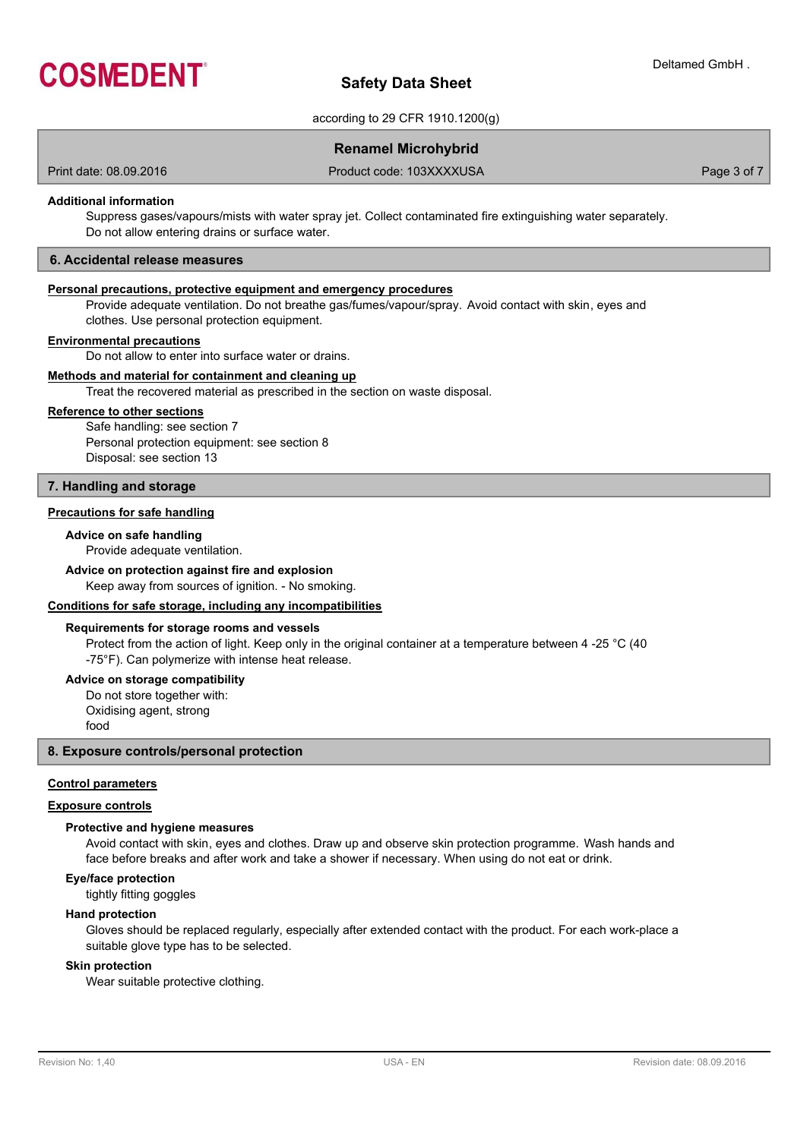

according to 29 CFR 1910.1200(g)

## **Renamel Microhybrid**

Print date: 08.09.2016 **Product code: 103XXXXUSA** Product code: 103XXXXUSA Page 3 of 7

## **Additional information**

Suppress gases/vapours/mists with water spray jet. Collect contaminated fire extinguishing water separately. Do not allow entering drains or surface water.

## **6. Accidental release measures**

## **Personal precautions, protective equipment and emergency procedures**

Provide adequate ventilation. Do not breathe gas/fumes/vapour/spray. Avoid contact with skin, eyes and clothes. Use personal protection equipment.

## **Environmental precautions**

Do not allow to enter into surface water or drains.

## **Methods and material for containment and cleaning up**

Treat the recovered material as prescribed in the section on waste disposal.

#### **Reference to other sections**

Safe handling: see section 7 Personal protection equipment: see section 8 Disposal: see section 13

#### **7. Handling and storage**

## **Precautions for safe handling**

## **Advice on safe handling**

Provide adequate ventilation.

## **Advice on protection against fire and explosion**

Keep away from sources of ignition. - No smoking.

#### **Conditions for safe storage, including any incompatibilities**

#### **Requirements for storage rooms and vessels**

Protect from the action of light. Keep only in the original container at a temperature between 4 -25 °C (40 -75°F). Can polymerize with intense heat release.

#### **Advice on storage compatibility**

Do not store together with: Oxidising agent, strong food

## **8. Exposure controls/personal protection**

#### **Control parameters**

## **Exposure controls**

#### **Protective and hygiene measures**

Avoid contact with skin, eyes and clothes. Draw up and observe skin protection programme. Wash hands and face before breaks and after work and take a shower if necessary. When using do not eat or drink.

#### **Eye/face protection**

tightly fitting goggles

## **Hand protection**

Gloves should be replaced regularly, especially after extended contact with the product. For each work-place a suitable glove type has to be selected.

#### **Skin protection**

Wear suitable protective clothing.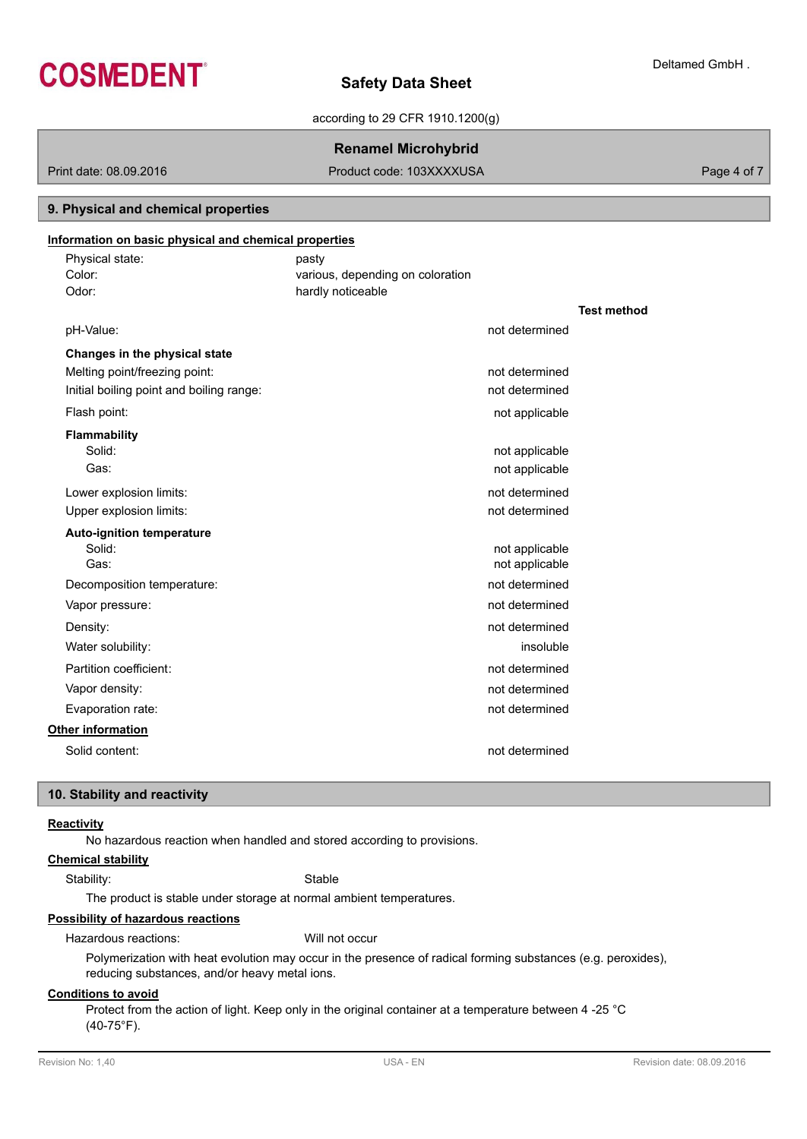

according to 29 CFR 1910.1200(g)

## **Renamel Microhybrid**

Print date: 08.09.2016 **Product code: 103XXXXUSA** Product code: 103XXXXUSA Page 4 of 7

# various, depending on coloration Physical state: pasty Color: **Information on basic physical and chemical properties 9. Physical and chemical properties** Odor: hardly noticeable **Test method** pH-Value: not determined **Changes in the physical state** Melting point/freezing point: not determined Initial boiling point and boiling range: not determined Flash point: not applicable that the state of the state of the state of the state of the state of the state of the state of the state of the state of the state of the state of the state of the state of the state of the sta **Flammability** Solid: **not applicable** solid: the solid: the solid: the solid: the solid: the solid: the solid: the solid: the solid: the solid: the solid: the solid: the solid: the solid: the solid: the solid: the solid: the solid: the Gas: **not** applicable Lower explosion limits: not determined Upper explosion limits: not determined **Auto-ignition temperature** Solid: not applicable not applicable Gas: Gas: not applicable contract to the contract of the contract of the contract of the contract of the contract of the contract of the contract of the contract of the contract of the contract of the contract of the contr Decomposition temperature: not determined Vapor pressure: not determined Density: not determined by a state of the state of the state of the state of the state of the state of the state of the state of the state of the state of the state of the state of the state of the state of the state of th Water solubility: insoluble Partition coefficient: not determined Vapor density: not determined Evaporation rate: not determined **Other information** Solid content: not determined

## **10. Stability and reactivity**

## **Reactivity**

No hazardous reaction when handled and stored according to provisions.

## **Chemical stability**

Stability: Stable

The product is stable under storage at normal ambient temperatures.

## **Possibility of hazardous reactions**

Hazardous reactions: Will not occur

Polymerization with heat evolution may occur in the presence of radical forming substances (e.g. peroxides), reducing substances, and/or heavy metal ions.

## **Conditions to avoid**

Protect from the action of light. Keep only in the original container at a temperature between 4 -25 °C (40-75°F).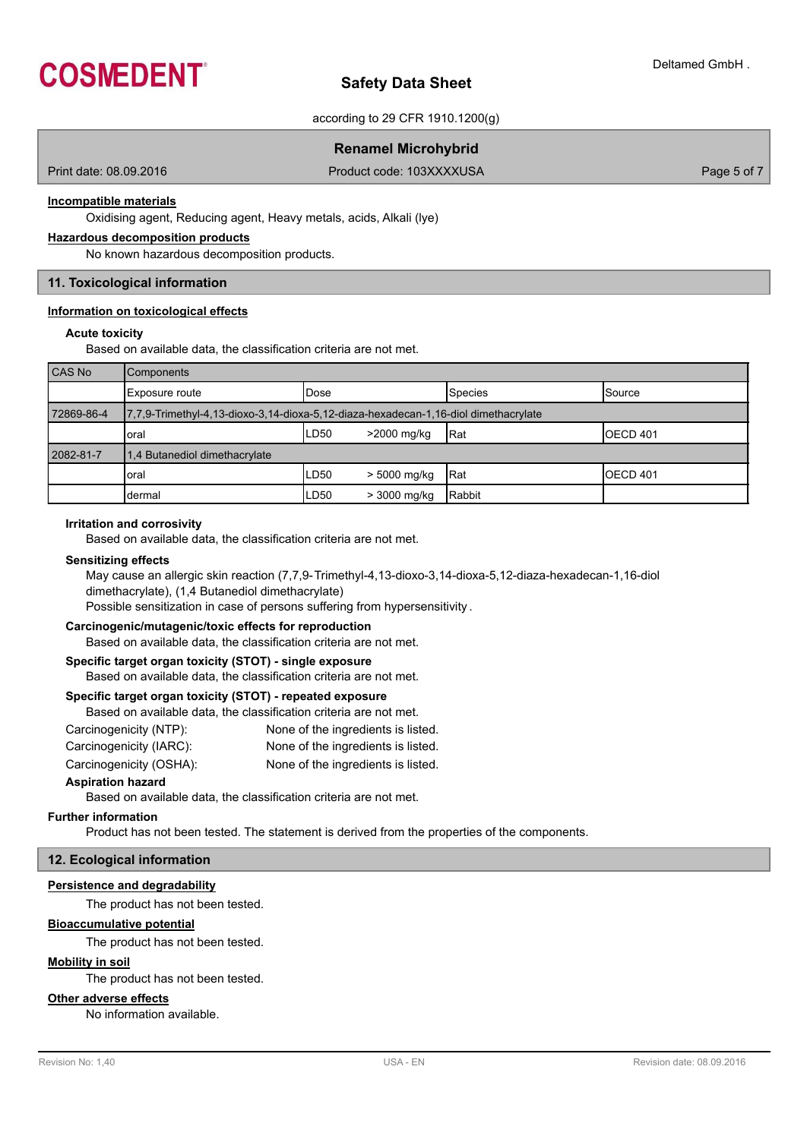

according to 29 CFR 1910.1200(g)

## **Renamel Microhybrid**

Print date: 08.09.2016 **Product code: 103XXXXUSA** Product code: 103XXXXUSA Page 5 of 7

#### **Incompatible materials**

Oxidising agent, Reducing agent, Heavy metals, acids, Alkali (lye)

#### **Hazardous decomposition products**

No known hazardous decomposition products.

## **11. Toxicological information**

## **Information on toxicological effects**

## **Acute toxicity**

Based on available data, the classification criteria are not met.

| CAS No     | <b>Components</b>                                                                    |              |              |             |                 |  |  |  |
|------------|--------------------------------------------------------------------------------------|--------------|--------------|-------------|-----------------|--|--|--|
|            | Exposure route                                                                       | <b>IDose</b> |              | Species     | <b>Source</b>   |  |  |  |
| 72869-86-4 | 17,7,9-Trimethyl-4,13-dioxo-3,14-dioxa-5,12-diaza-hexadecan-1,16-diol dimethacrylate |              |              |             |                 |  |  |  |
|            | oral                                                                                 | ILD50        | >2000 mg/kg  | Rat         | <b>OECD 401</b> |  |  |  |
| 2082-81-7  | 1.4 Butanediol dimethacrylate                                                        |              |              |             |                 |  |  |  |
|            | oral                                                                                 | LD50         | > 5000 mg/kg | <b>IRat</b> | <b>OECD 401</b> |  |  |  |
|            | dermal                                                                               | LD50         | > 3000 mg/kg | Rabbit      |                 |  |  |  |

#### **Irritation and corrosivity**

Based on available data, the classification criteria are not met.

#### **Sensitizing effects**

May cause an allergic skin reaction (7,7,9-Trimethyl-4,13-dioxo-3,14-dioxa-5,12-diaza-hexadecan-1,16-diol dimethacrylate), (1,4 Butanediol dimethacrylate)

Possible sensitization in case of persons suffering from hypersensitivity .

#### **Carcinogenic/mutagenic/toxic effects for reproduction**

Based on available data, the classification criteria are not met.

## **Specific target organ toxicity (STOT) - single exposure**

Based on available data, the classification criteria are not met.

## **Specific target organ toxicity (STOT) - repeated exposure**

Based on available data, the classification criteria are not met.

| Carcinogenicity (NTP):  | None of the ingredients is listed. |
|-------------------------|------------------------------------|
| Carcinogenicity (IARC): | None of the ingredients is listed. |

Carcinogenicity (OSHA): None of the ingredients is listed.

## **Aspiration hazard**

Based on available data, the classification criteria are not met.

#### **Further information**

Product has not been tested. The statement is derived from the properties of the components.

## **12. Ecological information**

#### **Persistence and degradability**

The product has not been tested.

## **Bioaccumulative potential**

The product has not been tested.

## **Mobility in soil**

The product has not been tested.

## **Other adverse effects**

No information available.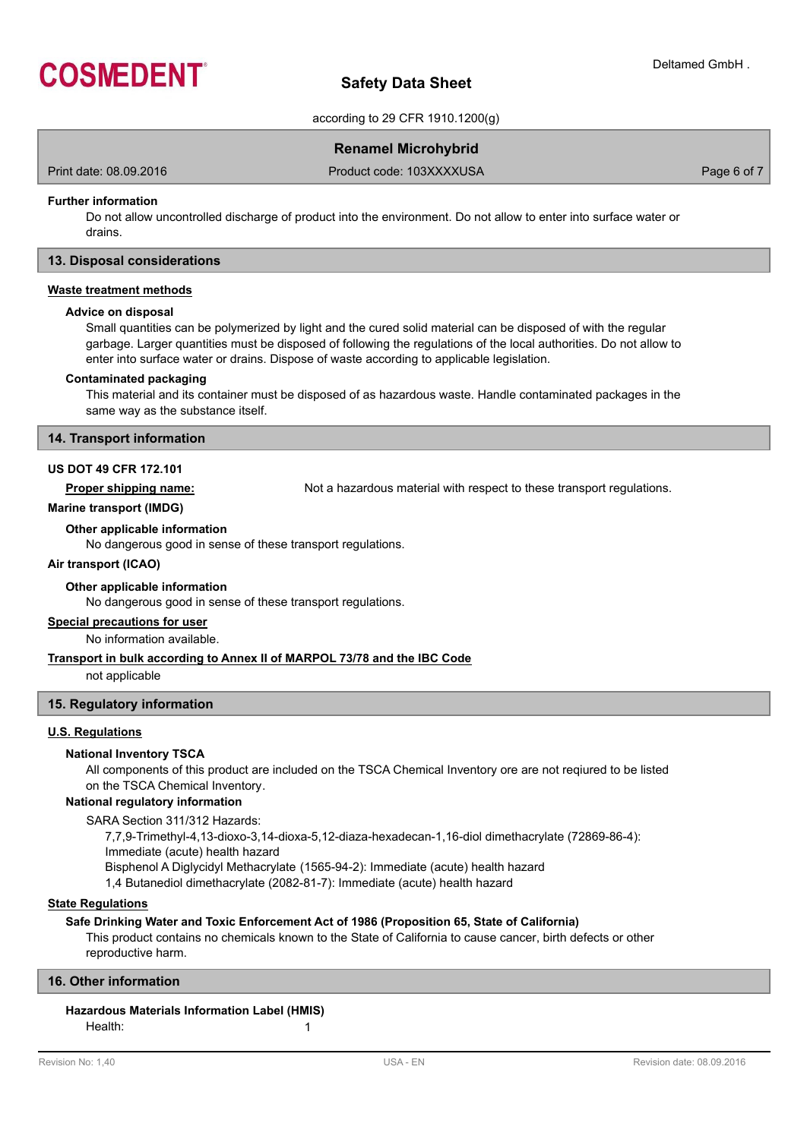

according to 29 CFR 1910.1200(g)

## **Renamel Microhybrid**

Print date: 08.09.2016 **Product code: 103XXXXUSA** Product code: 103XXXXUSA Page 6 of 7

## **Further information**

Do not allow uncontrolled discharge of product into the environment. Do not allow to enter into surface water or drains.

## **13. Disposal considerations**

## **Waste treatment methods**

#### **Advice on disposal**

Small quantities can be polymerized by light and the cured solid material can be disposed of with the regular garbage. Larger quantities must be disposed of following the regulations of the local authorities. Do not allow to enter into surface water or drains. Dispose of waste according to applicable legislation.

#### **Contaminated packaging**

This material and its container must be disposed of as hazardous waste. Handle contaminated packages in the same way as the substance itself.

#### **14. Transport information**

## **US DOT 49 CFR 172.101**

**Proper shipping name:** Not a hazardous material with respect to these transport regulations.

#### **Marine transport (IMDG)**

**Other applicable information**

No dangerous good in sense of these transport regulations.

## **Air transport (ICAO)**

## **Other applicable information**

No dangerous good in sense of these transport regulations.

#### **Special precautions for user**

No information available.

## **Transport in bulk according to Annex II of MARPOL 73/78 and the IBC Code**

not applicable

## **15. Regulatory information**

## **U.S. Regulations**

## **National Inventory TSCA**

All components of this product are included on the TSCA Chemical Inventory ore are not reqiured to be listed on the TSCA Chemical Inventory.

## **National regulatory information**

SARA Section 311/312 Hazards:

7,7,9-Trimethyl-4,13-dioxo-3,14-dioxa-5,12-diaza-hexadecan-1,16-diol dimethacrylate (72869-86-4):

Immediate (acute) health hazard

Bisphenol A Diglycidyl Methacrylate (1565-94-2): Immediate (acute) health hazard

1,4 Butanediol dimethacrylate (2082-81-7): Immediate (acute) health hazard

## **State Regulations**

## **Safe Drinking Water and Toxic Enforcement Act of 1986 (Proposition 65, State of California)**

This product contains no chemicals known to the State of California to cause cancer, birth defects or other reproductive harm.

## **16. Other information**

## **Hazardous Materials Information Label (HMIS)**

Health: 1